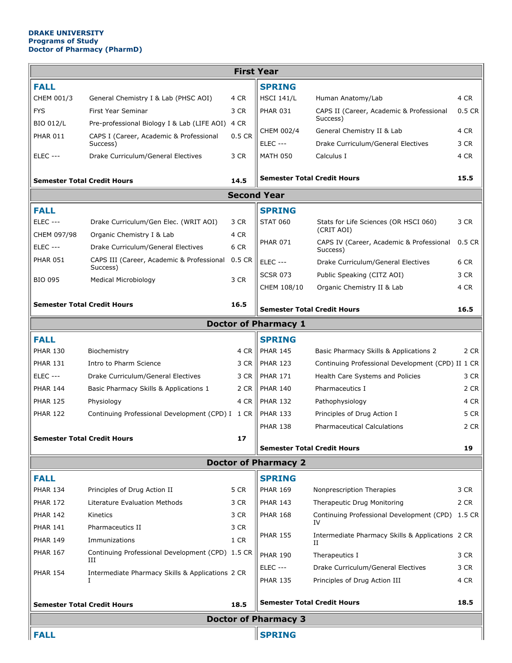## **DRAKE UNIVERSITY Programs of Study Doctor of Pharmacy (PharmD)**

| <b>First Year</b>                          |                                                       |                 |                                    |                                                       |          |  |  |  |  |  |
|--------------------------------------------|-------------------------------------------------------|-----------------|------------------------------------|-------------------------------------------------------|----------|--|--|--|--|--|
| <b>FALL</b>                                |                                                       |                 | <b>SPRING</b>                      |                                                       |          |  |  |  |  |  |
| CHEM 001/3                                 | General Chemistry I & Lab (PHSC AOI)                  | 4 CR            | <b>HSCI 141/L</b>                  | Human Anatomy/Lab                                     | 4 CR     |  |  |  |  |  |
| <b>FYS</b>                                 | <b>First Year Seminar</b>                             | 3 CR            | <b>PHAR 031</b>                    | CAPS II (Career, Academic & Professional<br>Success)  | $0.5$ CR |  |  |  |  |  |
| <b>BIO 012/L</b>                           | Pre-professional Biology I & Lab (LIFE AOI)           | 4 CR            | CHEM 002/4                         | General Chemistry II & Lab                            | 4 CR     |  |  |  |  |  |
| <b>PHAR 011</b>                            | CAPS I (Career, Academic & Professional<br>Success)   | 0.5 CR          | <b>ELEC ---</b>                    | Drake Curriculum/General Electives                    | 3 CR     |  |  |  |  |  |
| <b>ELEC ---</b>                            | Drake Curriculum/General Electives                    | 3 CR            | <b>MATH 050</b>                    | Calculus I                                            | 4 CR     |  |  |  |  |  |
| Semester Total Credit Hours<br>14.5        |                                                       |                 | <b>Semester Total Credit Hours</b> |                                                       | 15.5     |  |  |  |  |  |
| <b>Second Year</b>                         |                                                       |                 |                                    |                                                       |          |  |  |  |  |  |
| <b>FALL</b>                                |                                                       |                 | <b>SPRING</b>                      |                                                       |          |  |  |  |  |  |
| <b>ELEC ---</b>                            | Drake Curriculum/Gen Elec. (WRIT AOI)                 | 3 CR            | <b>STAT 060</b>                    | Stats for Life Sciences (OR HSCI 060)                 | 3 CR     |  |  |  |  |  |
| CHEM 097/98                                | Organic Chemistry I & Lab                             | 4 CR            |                                    | (CRIT AOI)                                            |          |  |  |  |  |  |
| <b>ELEC ---</b>                            | Drake Curriculum/General Electives                    | 6 CR            | <b>PHAR 071</b>                    | CAPS IV (Career, Academic & Professional<br>Success)  | $0.5$ CR |  |  |  |  |  |
| <b>PHAR 051</b>                            | CAPS III (Career, Academic & Professional             | 0.5 CR          | <b>ELEC ---</b>                    | Drake Curriculum/General Electives                    | 6 CR     |  |  |  |  |  |
|                                            | Success)                                              |                 | <b>SCSR 073</b>                    | Public Speaking (CITZ AOI)                            | 3 CR     |  |  |  |  |  |
| <b>BIO 095</b>                             | <b>Medical Microbiology</b>                           | 3 CR            | CHEM 108/10                        | Organic Chemistry II & Lab                            | 4 CR     |  |  |  |  |  |
|                                            | <b>Semester Total Credit Hours</b>                    | 16.5            |                                    |                                                       |          |  |  |  |  |  |
| <b>Semester Total Credit Hours</b><br>16.5 |                                                       |                 |                                    |                                                       |          |  |  |  |  |  |
| <b>Doctor of Pharmacy 1</b>                |                                                       |                 |                                    |                                                       |          |  |  |  |  |  |
| <b>FALL</b>                                |                                                       |                 | <b>SPRING</b>                      |                                                       |          |  |  |  |  |  |
| <b>PHAR 130</b>                            | Biochemistry                                          | 4 CR            | <b>PHAR 145</b>                    | Basic Pharmacy Skills & Applications 2                | 2 CR     |  |  |  |  |  |
| <b>PHAR 131</b>                            | Intro to Pharm Science                                | 3 CR            | <b>PHAR 123</b>                    | Continuing Professional Development (CPD) II 1 CR     |          |  |  |  |  |  |
| ELEC ---                                   | Drake Curriculum/General Electives                    | 3 CR            | <b>PHAR 171</b>                    | Health Care Systems and Policies                      | 3 CR     |  |  |  |  |  |
| <b>PHAR 144</b>                            | Basic Pharmacy Skills & Applications 1                | 2 CR            | <b>PHAR 140</b>                    | Pharmaceutics I                                       | 2 CR     |  |  |  |  |  |
| <b>PHAR 125</b>                            | Physiology                                            | 4 CR            | <b>PHAR 132</b>                    | Pathophysiology                                       | 4 CR     |  |  |  |  |  |
| <b>PHAR 122</b>                            | Continuing Professional Development (CPD) I 1 CR      |                 | <b>PHAR 133</b>                    | Principles of Drug Action I                           | 5 CR     |  |  |  |  |  |
|                                            |                                                       | <b>PHAR 138</b> | <b>Pharmaceutical Calculations</b> | 2 CR                                                  |          |  |  |  |  |  |
|                                            | <b>Semester Total Credit Hours</b>                    |                 | <b>Semester Total Credit Hours</b> | 19                                                    |          |  |  |  |  |  |
| <b>Doctor of Pharmacy 2</b>                |                                                       |                 |                                    |                                                       |          |  |  |  |  |  |
| <b>FALL</b>                                |                                                       |                 | <b>SPRING</b>                      |                                                       |          |  |  |  |  |  |
| <b>PHAR 134</b>                            | Principles of Drug Action II                          | 5 CR            | <b>PHAR 169</b>                    | Nonprescription Therapies                             | 3 CR     |  |  |  |  |  |
| <b>PHAR 172</b>                            | Literature Evaluation Methods                         | 3 CR            | <b>PHAR 143</b>                    | Therapeutic Drug Monitoring                           | 2 CR     |  |  |  |  |  |
| <b>PHAR 142</b>                            | Kinetics                                              | 3 CR            | <b>PHAR 168</b>                    | Continuing Professional Development (CPD)             | 1.5 CR   |  |  |  |  |  |
| <b>PHAR 141</b>                            | Pharmaceutics II                                      | 3 CR            |                                    | IV                                                    |          |  |  |  |  |  |
| <b>PHAR 149</b>                            | Immunizations                                         | 1 CR            | <b>PHAR 155</b>                    | Intermediate Pharmacy Skills & Applications 2 CR<br>П |          |  |  |  |  |  |
| <b>PHAR 167</b>                            | Continuing Professional Development (CPD) 1.5 CR<br>Ш |                 | <b>PHAR 190</b>                    | Therapeutics I                                        | 3 CR     |  |  |  |  |  |
| <b>PHAR 154</b>                            | Intermediate Pharmacy Skills & Applications 2 CR      |                 | <b>ELEC ---</b>                    | Drake Curriculum/General Electives                    | 3 CR     |  |  |  |  |  |
|                                            | I                                                     |                 | <b>PHAR 135</b>                    | Principles of Drug Action III                         | 4 CR     |  |  |  |  |  |
|                                            | <b>Semester Total Credit Hours</b>                    | 18.5            |                                    | <b>Semester Total Credit Hours</b>                    | 18.5     |  |  |  |  |  |
| <b>Doctor of Pharmacy 3</b>                |                                                       |                 |                                    |                                                       |          |  |  |  |  |  |
| <b>FALL</b><br><b>SPRING</b>               |                                                       |                 |                                    |                                                       |          |  |  |  |  |  |